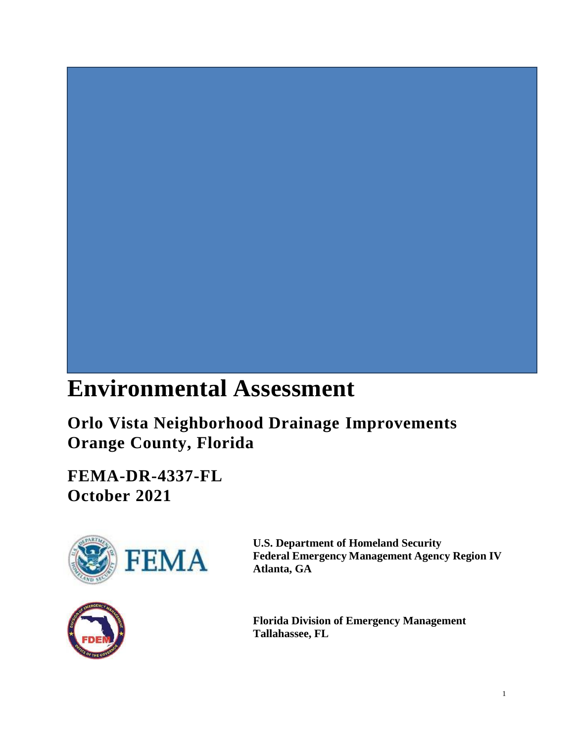# **Environmental Assessment**

 **Orlo Vista Neighborhood Drainage Improvements Orange County, Florida** 

**FEMA-DR-4337-FL October 2021** 





**U.S. Department of Homeland Security Federal Emergency Management Agency Region IV Atlanta, GA** 

**Florida Division of Emergency Management Tallahassee, FL**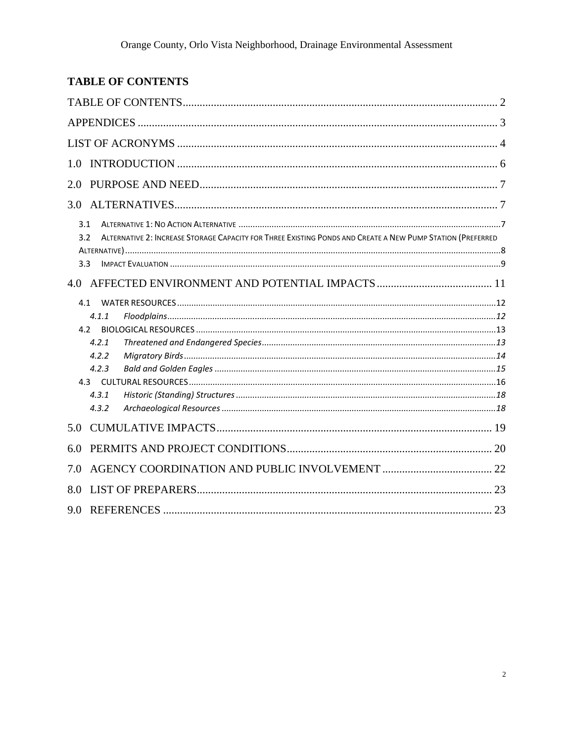# <span id="page-1-0"></span>**TABLE OF CONTENTS**

| 1.0                                                                                                                      |
|--------------------------------------------------------------------------------------------------------------------------|
| 2.0                                                                                                                      |
|                                                                                                                          |
| 3.1<br>ALTERNATIVE 2: INCREASE STORAGE CAPACITY FOR THREE EXISTING PONDS AND CREATE A NEW PUMP STATION (PREFERRED<br>3.2 |
| 3.3                                                                                                                      |
|                                                                                                                          |
| 4.1                                                                                                                      |
| 4.1.1                                                                                                                    |
| 4.2<br>4.2.1                                                                                                             |
| 4.2.2                                                                                                                    |
| 4.2.3                                                                                                                    |
|                                                                                                                          |
| 4.3.1                                                                                                                    |
| 4.3.2                                                                                                                    |
| 5.0                                                                                                                      |
| 6.0                                                                                                                      |
| 7.0                                                                                                                      |
| 8.0                                                                                                                      |
| 9.0                                                                                                                      |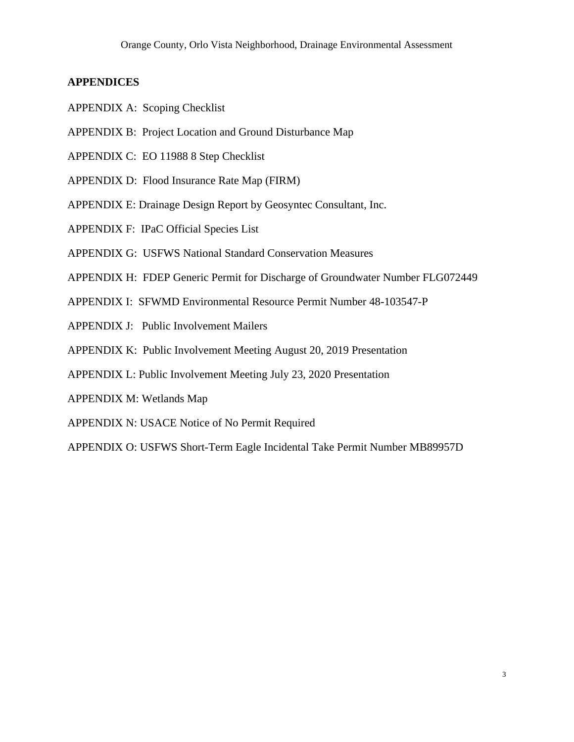#### <span id="page-2-0"></span>**APPENDICES**

- APPENDIX A: Scoping Checklist
- APPENDIX B: Project Location and Ground Disturbance Map
- APPENDIX C: EO 11988 8 Step Checklist
- APPENDIX D: Flood Insurance Rate Map (FIRM)
- APPENDIX E: Drainage Design Report by Geosyntec Consultant, Inc.
- APPENDIX F: IPaC Official Species List
- APPENDIX G: USFWS National Standard Conservation Measures
- APPENDIX H: FDEP Generic Permit for Discharge of Groundwater Number FLG072449
- APPENDIX I: SFWMD Environmental Resource Permit Number 48-103547-P
- APPENDIX J: Public Involvement Mailers
- APPENDIX K: Public Involvement Meeting August 20, 2019 Presentation
- APPENDIX L: Public Involvement Meeting July 23, 2020 Presentation
- APPENDIX M: Wetlands Map
- APPENDIX N: USACE Notice of No Permit Required
- APPENDIX O: USFWS Short-Term Eagle Incidental Take Permit Number MB89957D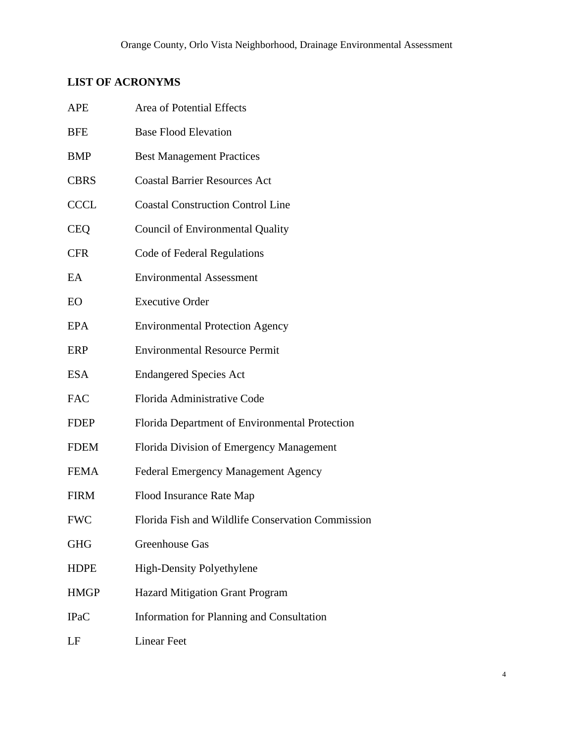# <span id="page-3-0"></span>**LIST OF ACRONYMS**

| <b>APE</b>  | Area of Potential Effects                         |  |
|-------------|---------------------------------------------------|--|
| <b>BFE</b>  | <b>Base Flood Elevation</b>                       |  |
| <b>BMP</b>  | <b>Best Management Practices</b>                  |  |
| <b>CBRS</b> | <b>Coastal Barrier Resources Act</b>              |  |
| <b>CCCL</b> | <b>Coastal Construction Control Line</b>          |  |
| <b>CEQ</b>  | <b>Council of Environmental Quality</b>           |  |
| <b>CFR</b>  | Code of Federal Regulations                       |  |
| EA          | <b>Environmental Assessment</b>                   |  |
| EO          | <b>Executive Order</b>                            |  |
| <b>EPA</b>  | <b>Environmental Protection Agency</b>            |  |
| ERP         | <b>Environmental Resource Permit</b>              |  |
| ESA         | <b>Endangered Species Act</b>                     |  |
| <b>FAC</b>  | Florida Administrative Code                       |  |
| <b>FDEP</b> | Florida Department of Environmental Protection    |  |
| <b>FDEM</b> | Florida Division of Emergency Management          |  |
| <b>FEMA</b> | Federal Emergency Management Agency               |  |
| FIRM        | Flood Insurance Rate Map                          |  |
| <b>FWC</b>  | Florida Fish and Wildlife Conservation Commission |  |
| <b>GHG</b>  | <b>Greenhouse Gas</b>                             |  |
| <b>HDPE</b> | <b>High-Density Polyethylene</b>                  |  |
| <b>HMGP</b> | <b>Hazard Mitigation Grant Program</b>            |  |
| <b>IPaC</b> | <b>Information for Planning and Consultation</b>  |  |
| LF          | <b>Linear Feet</b>                                |  |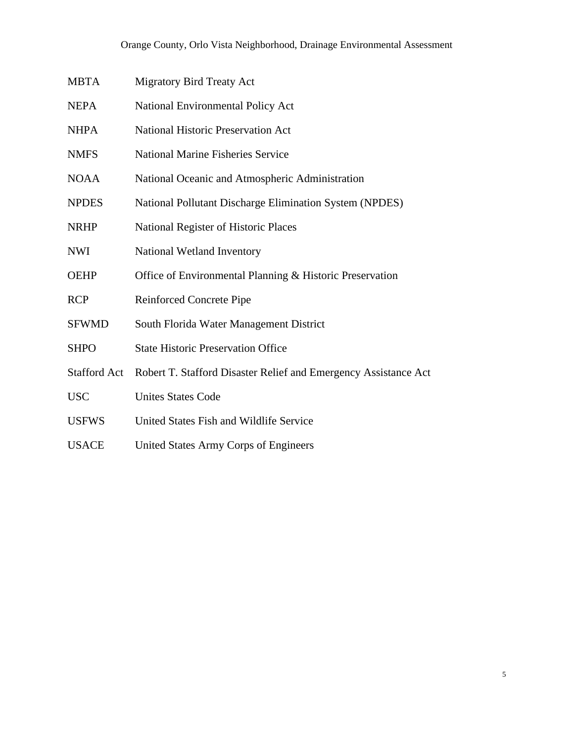| MBTA | <b>Migratory Bird Treaty Act</b> |  |
|------|----------------------------------|--|
|------|----------------------------------|--|

- NEPA National Environmental Policy Act
- NHPA National Historic Preservation Act
- NMFS National Marine Fisheries Service
- NOAA National Oceanic and Atmospheric Administration
- NPDES National Pollutant Discharge Elimination System (NPDES)
- NRHP National Register of Historic Places
- NWI National Wetland Inventory
- OEHP Office of Environmental Planning & Historic Preservation
- RCP Reinforced Concrete Pipe
- SFWMD South Florida Water Management District
- SHPO State Historic Preservation Office
- Stafford Act Robert T. Stafford Disaster Relief and Emergency Assistance Act
- USC Unites States Code
- USFWS United States Fish and Wildlife Service
- USACE United States Army Corps of Engineers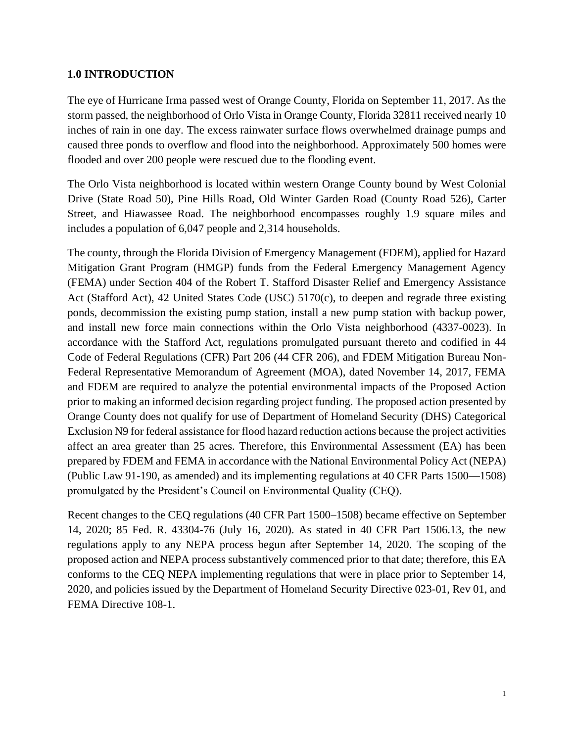#### <span id="page-5-0"></span>**1.0 INTRODUCTION**

 storm passed, the neighborhood of Orlo Vista in Orange County, Florida 32811 received nearly 10 inches of rain in one day. The excess rainwater surface flows overwhelmed drainage pumps and The eye of Hurricane Irma passed west of Orange County, Florida on September 11, 2017. As the caused three ponds to overflow and flood into the neighborhood. Approximately 500 homes were flooded and over 200 people were rescued due to the flooding event.

 The Orlo Vista neighborhood is located within western Orange County bound by West Colonial Drive (State Road 50), Pine Hills Road, Old Winter Garden Road (County Road 526), Carter Street, and Hiawassee Road. The neighborhood encompasses roughly 1.9 square miles and includes a population of 6,047 people and 2,314 households.

 Mitigation Grant Program (HMGP) funds from the Federal Emergency Management Agency Act (Stafford Act), 42 United States Code (USC) 5170(c), to deepen and regrade three existing ponds, decommission the existing pump station, install a new pump station with backup power, and install new force main connections within the Orlo Vista neighborhood (4337-0023). In Code of Federal Regulations (CFR) Part 206 (44 CFR 206), and FDEM Mitigation Bureau Non- and FDEM are required to analyze the potential environmental impacts of the Proposed Action Orange County does not qualify for use of Department of Homeland Security (DHS) Categorical Exclusion N9 for federal assistance for flood hazard reduction actions because the project activities The county, through the Florida Division of Emergency Management (FDEM), applied for Hazard (FEMA) under Section 404 of the Robert T. Stafford Disaster Relief and Emergency Assistance accordance with the Stafford Act, regulations promulgated pursuant thereto and codified in 44 Federal Representative Memorandum of Agreement (MOA), dated November 14, 2017, FEMA prior to making an informed decision regarding project funding. The proposed action presented by affect an area greater than 25 acres. Therefore, this Environmental Assessment (EA) has been prepared by FDEM and FEMA in accordance with the National Environmental Policy Act (NEPA) (Public Law 91-190, as amended) and its implementing regulations at 40 CFR Parts 1500—1508) promulgated by the President's Council on Environmental Quality (CEQ).

 Recent changes to the CEQ regulations (40 CFR Part 1500–1508) became effective on September 14, 2020; 85 Fed. R. 43304-76 (July 16, 2020). As stated in 40 CFR Part 1506.13, the new regulations apply to any NEPA process begun after September 14, 2020. The scoping of the conforms to the CEQ NEPA implementing regulations that were in place prior to September 14, proposed action and NEPA process substantively commenced prior to that date; therefore, this EA 2020, and policies issued by the Department of Homeland Security Directive 023-01, Rev 01, and FEMA Directive 108-1.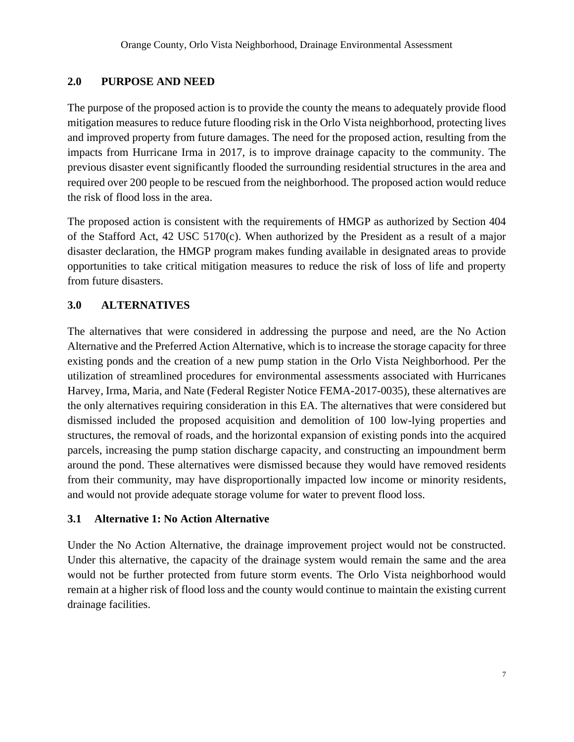#### <span id="page-6-0"></span>**2.0 PURPOSE AND NEED**

 previous disaster event significantly flooded the surrounding residential structures in the area and The purpose of the proposed action is to provide the county the means to adequately provide flood mitigation measures to reduce future flooding risk in the Orlo Vista neighborhood, protecting lives and improved property from future damages. The need for the proposed action, resulting from the impacts from Hurricane Irma in 2017, is to improve drainage capacity to the community. The required over 200 people to be rescued from the neighborhood. The proposed action would reduce the risk of flood loss in the area.

 The proposed action is consistent with the requirements of HMGP as authorized by Section 404 of the Stafford Act, 42 USC 5170(c). When authorized by the President as a result of a major disaster declaration, the HMGP program makes funding available in designated areas to provide opportunities to take critical mitigation measures to reduce the risk of loss of life and property from future disasters.

#### <span id="page-6-1"></span>**3.0 ALTERNATIVES**

 Alternative and the Preferred Action Alternative, which is to increase the storage capacity for three Harvey, Irma, Maria, and Nate (Federal Register Notice FEMA-2017-0035), these alternatives are parcels, increasing the pump station discharge capacity, and constructing an impoundment berm The alternatives that were considered in addressing the purpose and need, are the No Action existing ponds and the creation of a new pump station in the Orlo Vista Neighborhood. Per the utilization of streamlined procedures for environmental assessments associated with Hurricanes the only alternatives requiring consideration in this EA. The alternatives that were considered but dismissed included the proposed acquisition and demolition of 100 low-lying properties and structures, the removal of roads, and the horizontal expansion of existing ponds into the acquired around the pond. These alternatives were dismissed because they would have removed residents from their community, may have disproportionally impacted low income or minority residents, and would not provide adequate storage volume for water to prevent flood loss.

#### <span id="page-6-2"></span>**3.1 Alternative 1: No Action Alternative**

 Under the No Action Alternative, the drainage improvement project would not be constructed. would not be further protected from future storm events. The Orlo Vista neighborhood would remain at a higher risk of flood loss and the county would continue to maintain the existing current Under this alternative, the capacity of the drainage system would remain the same and the area drainage facilities.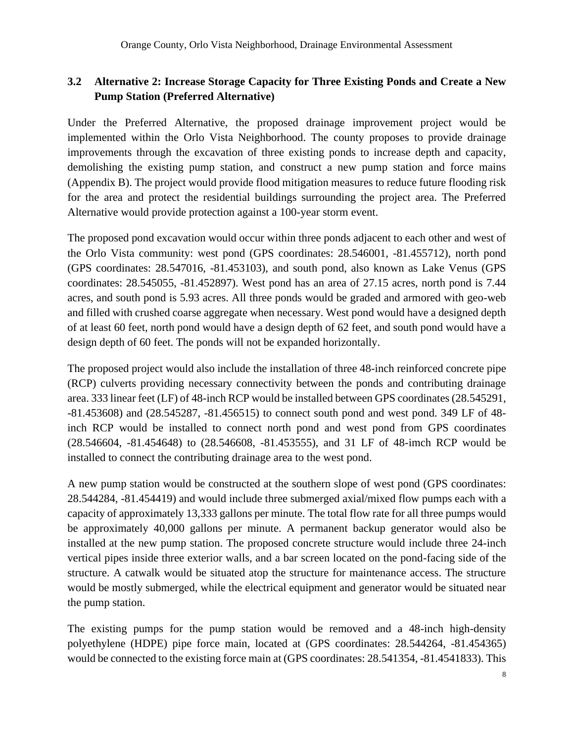#### <span id="page-7-0"></span>**3.2 Alternative 2: Increase Storage Capacity for Three Existing Ponds and Create a New Pump Station (Preferred Alternative)**

 Under the Preferred Alternative, the proposed drainage improvement project would be implemented within the Orlo Vista Neighborhood. The county proposes to provide drainage for the area and protect the residential buildings surrounding the project area. The Preferred improvements through the excavation of three existing ponds to increase depth and capacity, demolishing the existing pump station, and construct a new pump station and force mains (Appendix B). The project would provide flood mitigation measures to reduce future flooding risk Alternative would provide protection against a 100-year storm event.

 (GPS coordinates: 28.547016, -81.453103), and south pond, also known as Lake Venus (GPS acres, and south pond is 5.93 acres. All three ponds would be graded and armored with geo-web of at least 60 feet, north pond would have a design depth of 62 feet, and south pond would have a The proposed pond excavation would occur within three ponds adjacent to each other and west of the Orlo Vista community: west pond (GPS coordinates: 28.546001, -81.455712), north pond coordinates: 28.545055, -81.452897). West pond has an area of 27.15 acres, north pond is 7.44 and filled with crushed coarse aggregate when necessary. West pond would have a designed depth design depth of 60 feet. The ponds will not be expanded horizontally.

The proposed project would also include the installation of three 48-inch reinforced concrete pipe (RCP) culverts providing necessary connectivity between the ponds and contributing drainage area. 333 linear feet (LF) of 48-inch RCP would be installed between GPS coordinates (28.545291, -81.453608) and (28.545287, -81.456515) to connect south pond and west pond. 349 LF of 48 inch RCP would be installed to connect north pond and west pond from GPS coordinates (28.546604, -81.454648) to (28.546608, -81.453555), and 31 LF of 48-imch RCP would be installed to connect the contributing drainage area to the west pond.

 be approximately 40,000 gallons per minute. A permanent backup generator would also be installed at the new pump station. The proposed concrete structure would include three 24-inch A new pump station would be constructed at the southern slope of west pond (GPS coordinates: 28.544284, -81.454419) and would include three submerged axial/mixed flow pumps each with a capacity of approximately 13,333 gallons per minute. The total flow rate for all three pumps would vertical pipes inside three exterior walls, and a bar screen located on the pond-facing side of the structure. A catwalk would be situated atop the structure for maintenance access. The structure would be mostly submerged, while the electrical equipment and generator would be situated near the pump station.

 The existing pumps for the pump station would be removed and a 48-inch high-density polyethylene (HDPE) pipe force main, located at (GPS coordinates: 28.544264, -81.454365) would be connected to the existing force main at (GPS coordinates: 28.541354, -81.4541833). This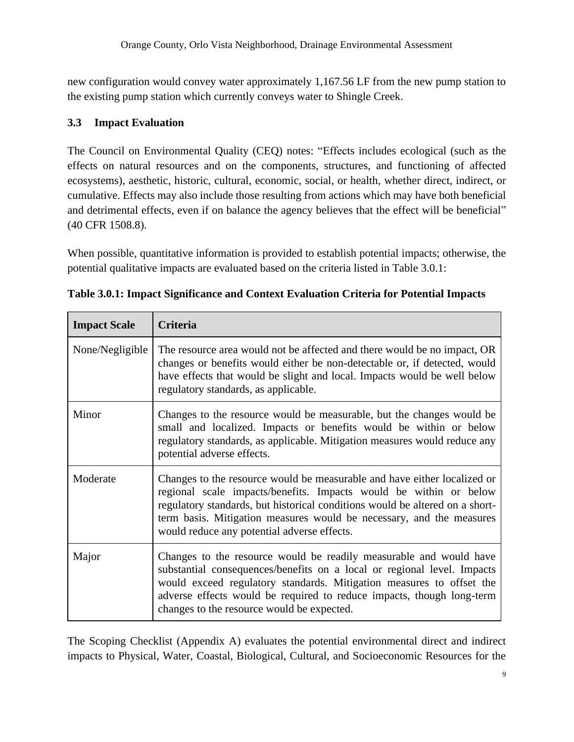new configuration would convey water approximately 1,167.56 LF from the new pump station to the existing pump station which currently conveys water to Shingle Creek.

#### <span id="page-8-0"></span>**3.3 Impact Evaluation**

 effects on natural resources and on the components, structures, and functioning of affected cumulative. Effects may also include those resulting from actions which may have both beneficial and detrimental effects, even if on balance the agency believes that the effect will be beneficial" The Council on Environmental Quality (CEQ) notes: "Effects includes ecological (such as the ecosystems), aesthetic, historic, cultural, economic, social, or health, whether direct, indirect, or (40 CFR 1508.8).

When possible, quantitative information is provided to establish potential impacts; otherwise, the potential qualitative impacts are evaluated based on the criteria listed in Table 3.0.1:

| <b>Impact Scale</b> | Criteria                                                                                                                                                                                                                                                                                                                                             |
|---------------------|------------------------------------------------------------------------------------------------------------------------------------------------------------------------------------------------------------------------------------------------------------------------------------------------------------------------------------------------------|
| None/Negligible     | The resource area would not be affected and there would be no impact, OR<br>changes or benefits would either be non-detectable or, if detected, would<br>have effects that would be slight and local. Impacts would be well below<br>regulatory standards, as applicable.                                                                            |
| Minor               | Changes to the resource would be measurable, but the changes would be<br>small and localized. Impacts or benefits would be within or below<br>regulatory standards, as applicable. Mitigation measures would reduce any<br>potential adverse effects.                                                                                                |
| Moderate            | Changes to the resource would be measurable and have either localized or<br>regional scale impacts/benefits. Impacts would be within or below<br>regulatory standards, but historical conditions would be altered on a short-<br>term basis. Mitigation measures would be necessary, and the measures<br>would reduce any potential adverse effects. |
| Major               | Changes to the resource would be readily measurable and would have<br>substantial consequences/benefits on a local or regional level. Impacts<br>would exceed regulatory standards. Mitigation measures to offset the<br>adverse effects would be required to reduce impacts, though long-term<br>changes to the resource would be expected.         |

| Table 3.0.1: Impact Significance and Context Evaluation Criteria for Potential Impacts |  |
|----------------------------------------------------------------------------------------|--|
|----------------------------------------------------------------------------------------|--|

The Scoping Checklist (Appendix A) evaluates the potential environmental direct and indirect impacts to Physical, Water, Coastal, Biological, Cultural, and Socioeconomic Resources for the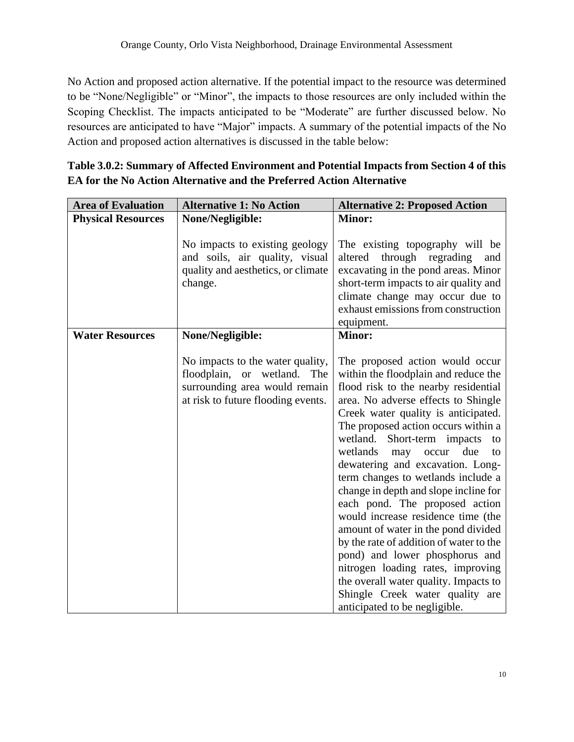No Action and proposed action alternative. If the potential impact to the resource was determined to be "None/Negligible" or "Minor", the impacts to those resources are only included within the Scoping Checklist. The impacts anticipated to be "Moderate" are further discussed below. No resources are anticipated to have "Major" impacts. A summary of the potential impacts of the No Action and proposed action alternatives is discussed in the table below:

| <b>Area of Evaluation</b> | <b>Alternative 1: No Action</b>                                                                                                           | <b>Alternative 2: Proposed Action</b>                                                                                                                                                                                                                                                                                                                                                                                                                                                                                                                                                                                                                                                                                                                                               |
|---------------------------|-------------------------------------------------------------------------------------------------------------------------------------------|-------------------------------------------------------------------------------------------------------------------------------------------------------------------------------------------------------------------------------------------------------------------------------------------------------------------------------------------------------------------------------------------------------------------------------------------------------------------------------------------------------------------------------------------------------------------------------------------------------------------------------------------------------------------------------------------------------------------------------------------------------------------------------------|
| <b>Physical Resources</b> | <b>None/Negligible:</b>                                                                                                                   | <b>Minor:</b>                                                                                                                                                                                                                                                                                                                                                                                                                                                                                                                                                                                                                                                                                                                                                                       |
|                           | No impacts to existing geology<br>and soils, air quality, visual<br>quality and aesthetics, or climate<br>change.                         | The existing topography will be<br>altered<br>through regrading<br>and<br>excavating in the pond areas. Minor<br>short-term impacts to air quality and<br>climate change may occur due to<br>exhaust emissions from construction<br>equipment.                                                                                                                                                                                                                                                                                                                                                                                                                                                                                                                                      |
| <b>Water Resources</b>    | <b>None/Negligible:</b>                                                                                                                   | <b>Minor:</b>                                                                                                                                                                                                                                                                                                                                                                                                                                                                                                                                                                                                                                                                                                                                                                       |
|                           | No impacts to the water quality,<br>floodplain, or wetland.<br>The<br>surrounding area would remain<br>at risk to future flooding events. | The proposed action would occur<br>within the floodplain and reduce the<br>flood risk to the nearby residential<br>area. No adverse effects to Shingle<br>Creek water quality is anticipated.<br>The proposed action occurs within a<br>wetland. Short-term impacts<br>to<br>wetlands<br>due<br>occur<br>may<br>to<br>dewatering and excavation. Long-<br>term changes to wetlands include a<br>change in depth and slope incline for<br>each pond. The proposed action<br>would increase residence time (the<br>amount of water in the pond divided<br>by the rate of addition of water to the<br>pond) and lower phosphorus and<br>nitrogen loading rates, improving<br>the overall water quality. Impacts to<br>Shingle Creek water quality are<br>anticipated to be negligible. |

| Table 3.0.2: Summary of Affected Environment and Potential Impacts from Section 4 of this |
|-------------------------------------------------------------------------------------------|
| <b>EA for the No Action Alternative and the Preferred Action Alternative</b>              |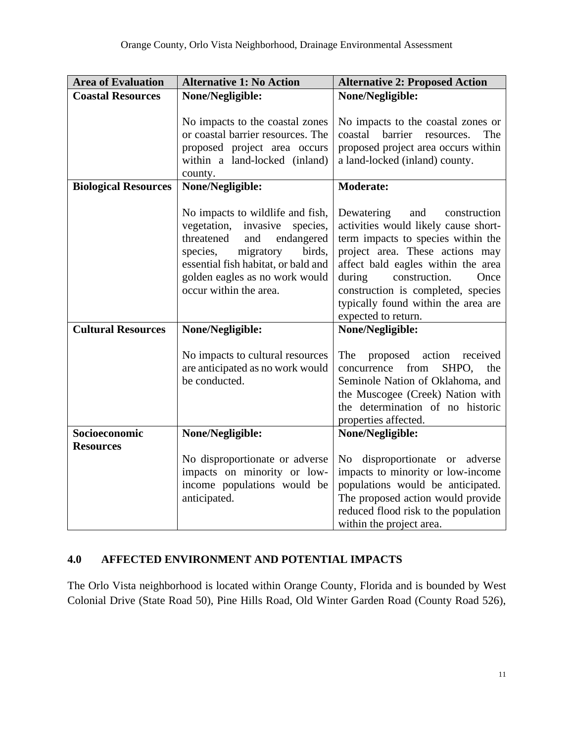| <b>Area of Evaluation</b>   | <b>Alternative 1: No Action</b>                                                                                                                                                                                                               | <b>Alternative 2: Proposed Action</b>                                                                                                                                                                                                                                                                                           |
|-----------------------------|-----------------------------------------------------------------------------------------------------------------------------------------------------------------------------------------------------------------------------------------------|---------------------------------------------------------------------------------------------------------------------------------------------------------------------------------------------------------------------------------------------------------------------------------------------------------------------------------|
| <b>Coastal Resources</b>    | None/Negligible:                                                                                                                                                                                                                              | None/Negligible:                                                                                                                                                                                                                                                                                                                |
|                             | No impacts to the coastal zones<br>or coastal barrier resources. The<br>proposed project area occurs<br>within a land-locked (inland)<br>county.                                                                                              | No impacts to the coastal zones or<br>barrier<br>coastal<br>The<br>resources.<br>proposed project area occurs within<br>a land-locked (inland) county.                                                                                                                                                                          |
| <b>Biological Resources</b> | None/Negligible:                                                                                                                                                                                                                              | <b>Moderate:</b>                                                                                                                                                                                                                                                                                                                |
|                             | No impacts to wildlife and fish,<br>vegetation, invasive<br>species,<br>threatened<br>and<br>endangered<br>migratory<br>birds,<br>species,<br>essential fish habitat, or bald and<br>golden eagles as no work would<br>occur within the area. | Dewatering<br>and<br>construction<br>activities would likely cause short-<br>term impacts to species within the<br>project area. These actions may<br>affect bald eagles within the area<br>during<br>construction.<br>Once<br>construction is completed, species<br>typically found within the area are<br>expected to return. |
| <b>Cultural Resources</b>   | None/Negligible:                                                                                                                                                                                                                              | None/Negligible:                                                                                                                                                                                                                                                                                                                |
|                             | No impacts to cultural resources<br>are anticipated as no work would<br>be conducted.                                                                                                                                                         | The<br>action<br>proposed<br>received<br>from<br>SHPO.<br>concurrence<br>the<br>Seminole Nation of Oklahoma, and<br>the Muscogee (Creek) Nation with<br>the determination of no historic<br>properties affected.                                                                                                                |
| Socioeconomic               | None/Negligible:                                                                                                                                                                                                                              | None/Negligible:                                                                                                                                                                                                                                                                                                                |
| <b>Resources</b>            | No disproportionate or adverse<br>impacts on minority or low-<br>income populations would be<br>anticipated.                                                                                                                                  | disproportionate or adverse<br>No<br>impacts to minority or low-income<br>populations would be anticipated.<br>The proposed action would provide<br>reduced flood risk to the population<br>within the project area.                                                                                                            |

#### <span id="page-10-0"></span>**4.0 AFFECTED ENVIRONMENT AND POTENTIAL IMPACTS**

The Orlo Vista neighborhood is located within Orange County, Florida and is bounded by West Colonial Drive (State Road 50), Pine Hills Road, Old Winter Garden Road (County Road 526),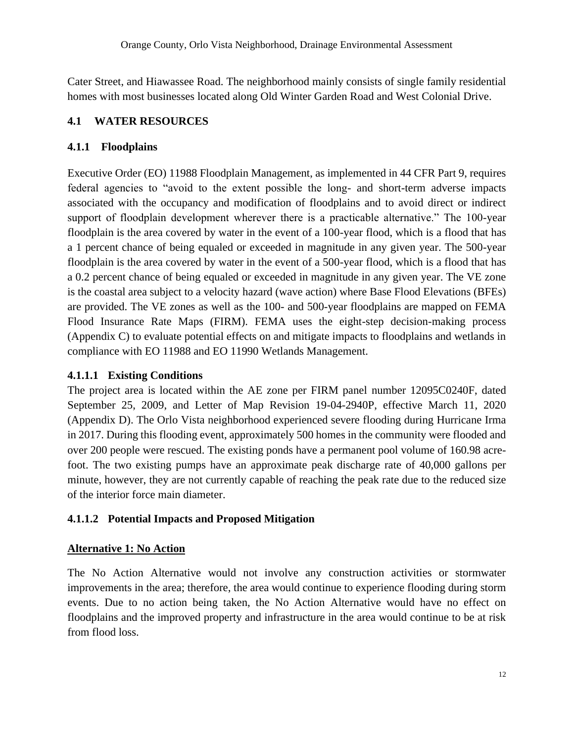Cater Street, and Hiawassee Road. The neighborhood mainly consists of single family residential homes with most businesses located along Old Winter Garden Road and West Colonial Drive.

#### <span id="page-11-0"></span>**4.1 WATER RESOURCES**

#### <span id="page-11-1"></span>**4.1.1 Floodplains**

 support of floodplain development wherever there is a practicable alternative." The 100-year floodplain is the area covered by water in the event of a 100-year flood, which is a flood that has a 1 percent chance of being equaled or exceeded in magnitude in any given year. The 500-year floodplain is the area covered by water in the event of a 500-year flood, which is a flood that has is the coastal area subject to a velocity hazard (wave action) where Base Flood Elevations (BFEs) are provided. The VE zones as well as the 100- and 500-year floodplains are mapped on FEMA Flood Insurance Rate Maps (FIRM). FEMA uses the eight-step decision-making process (Appendix C) to evaluate potential effects on and mitigate impacts to floodplains and wetlands in Executive Order (EO) 11988 Floodplain Management, as implemented in 44 CFR Part 9, requires federal agencies to "avoid to the extent possible the long- and short-term adverse impacts associated with the occupancy and modification of floodplains and to avoid direct or indirect a 0.2 percent chance of being equaled or exceeded in magnitude in any given year. The VE zone compliance with EO 11988 and EO 11990 Wetlands Management.

#### **4.1.1.1 Existing Conditions**

 The project area is located within the AE zone per FIRM panel number 12095C0240F, dated September 25, 2009, and Letter of Map Revision 19-04-2940P, effective March 11, 2020 over 200 people were rescued. The existing ponds have a permanent pool volume of 160.98 acre- foot. The two existing pumps have an approximate peak discharge rate of 40,000 gallons per (Appendix D). The Orlo Vista neighborhood experienced severe flooding during Hurricane Irma in 2017. During this flooding event, approximately 500 homes in the community were flooded and minute, however, they are not currently capable of reaching the peak rate due to the reduced size of the interior force main diameter.

#### **4.1.1.2 Potential Impacts and Proposed Mitigation**

#### **Alternative 1: No Action**

 events. Due to no action being taken, the No Action Alternative would have no effect on The No Action Alternative would not involve any construction activities or stormwater improvements in the area; therefore, the area would continue to experience flooding during storm floodplains and the improved property and infrastructure in the area would continue to be at risk from flood loss.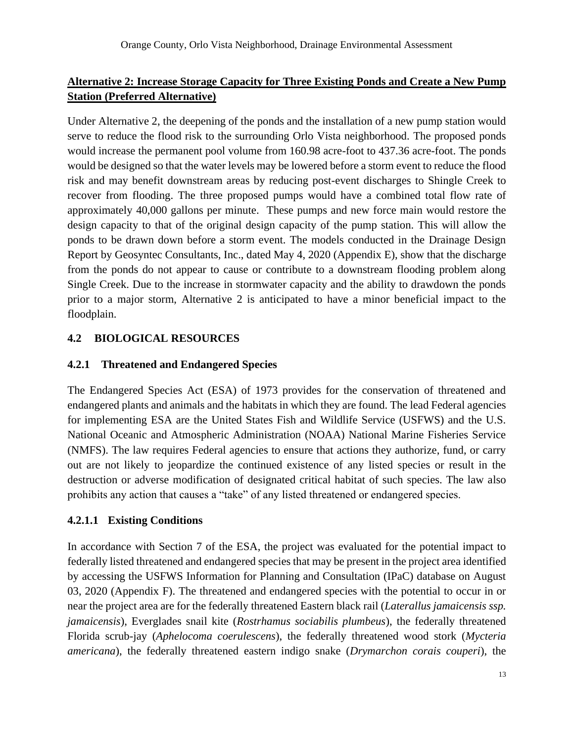## **Alternative 2: Increase Storage Capacity for Three Existing Ponds and Create a New Pump Station (Preferred Alternative)**

 serve to reduce the flood risk to the surrounding Orlo Vista neighborhood. The proposed ponds would increase the permanent pool volume from 160.98 acre-foot to 437.36 acre-foot. The ponds would be designed so that the water levels may be lowered before a storm event to reduce the flood approximately 40,000 gallons per minute. These pumps and new force main would restore the ponds to be drawn down before a storm event. The models conducted in the Drainage Design Report by Geosyntec Consultants, Inc., dated May 4, 2020 (Appendix E), show that the discharge from the ponds do not appear to cause or contribute to a downstream flooding problem along Single Creek. Due to the increase in stormwater capacity and the ability to drawdown the ponds Under Alternative 2, the deepening of the ponds and the installation of a new pump station would risk and may benefit downstream areas by reducing post-event discharges to Shingle Creek to recover from flooding. The three proposed pumps would have a combined total flow rate of design capacity to that of the original design capacity of the pump station. This will allow the prior to a major storm, Alternative 2 is anticipated to have a minor beneficial impact to the floodplain.

#### <span id="page-12-0"></span>**4.2 BIOLOGICAL RESOURCES**

#### <span id="page-12-1"></span>**4.2.1 Threatened and Endangered Species**

The Endangered Species Act (ESA) of 1973 provides for the conservation of threatened and endangered plants and animals and the habitats in which they are found. The lead Federal agencies for implementing ESA are the United States Fish and Wildlife Service (USFWS) and the U.S. National Oceanic and Atmospheric Administration (NOAA) National Marine Fisheries Service (NMFS). The law requires Federal agencies to ensure that actions they authorize, fund, or carry out are not likely to jeopardize the continued existence of any listed species or result in the destruction or adverse modification of designated critical habitat of such species. The law also prohibits any action that causes a "take" of any listed threatened or endangered species.

#### **4.2.1.1 Existing Conditions**

 In accordance with Section 7 of the ESA, the project was evaluated for the potential impact to 03, 2020 (Appendix F). The threatened and endangered species with the potential to occur in or Florida scrub-jay (*Aphelocoma coerulescens*), the federally threatened wood stork (*Mycteria*  federally listed threatened and endangered species that may be present in the project area identified by accessing the USFWS Information for Planning and Consultation (IPaC) database on August near the project area are for the federally threatened Eastern black rail (*Laterallus jamaicensis ssp. jamaicensis*), Everglades snail kite (*Rostrhamus sociabilis plumbeus*), the federally threatened *americana*), the federally threatened eastern indigo snake (*Drymarchon corais couperi*), the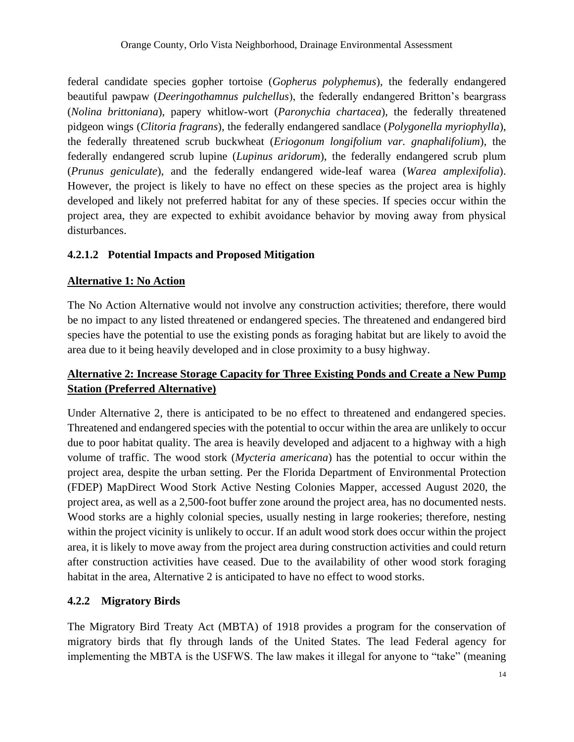beautiful pawpaw (*Deeringothamnus pulchellus*), the federally endangered Britton's beargrass pidgeon wings (*Clitoria fragrans*), the federally endangered sandlace (*Polygonella myriophylla*), developed and likely not preferred habitat for any of these species. If species occur within the federal candidate species gopher tortoise (*Gopherus polyphemus*), the federally endangered (*Nolina brittoniana*), papery whitlow-wort (*Paronychia chartacea*), the federally threatened the federally threatened scrub buckwheat (*Eriogonum longifolium var. gnaphalifolium*), the federally endangered scrub lupine (*Lupinus aridorum*), the federally endangered scrub plum (*Prunus geniculate*), and the federally endangered wide-leaf warea (*Warea amplexifolia*). However, the project is likely to have no effect on these species as the project area is highly project area, they are expected to exhibit avoidance behavior by moving away from physical disturbances.

#### **4.2.1.2 Potential Impacts and Proposed Mitigation**

#### **Alternative 1: No Action**

 The No Action Alternative would not involve any construction activities; therefore, there would be no impact to any listed threatened or endangered species. The threatened and endangered bird species have the potential to use the existing ponds as foraging habitat but are likely to avoid the area due to it being heavily developed and in close proximity to a busy highway.

# **Alternative 2: Increase Storage Capacity for Three Existing Ponds and Create a New Pump Station (Preferred Alternative)**

 Under Alternative 2, there is anticipated to be no effect to threatened and endangered species. Threatened and endangered species with the potential to occur within the area are unlikely to occur due to poor habitat quality. The area is heavily developed and adjacent to a highway with a high (FDEP) MapDirect Wood Stork Active Nesting Colonies Mapper, accessed August 2020, the Wood storks are a highly colonial species, usually nesting in large rookeries; therefore, nesting within the project vicinity is unlikely to occur. If an adult wood stork does occur within the project area, it is likely to move away from the project area during construction activities and could return volume of traffic. The wood stork (*Mycteria americana*) has the potential to occur within the project area, despite the urban setting. Per the Florida Department of Environmental Protection project area, as well as a 2,500-foot buffer zone around the project area, has no documented nests. after construction activities have ceased. Due to the availability of other wood stork foraging habitat in the area, Alternative 2 is anticipated to have no effect to wood storks.

#### <span id="page-13-0"></span>**4.2.2 Migratory Birds**

 migratory birds that fly through lands of the United States. The lead Federal agency for implementing the MBTA is the USFWS. The law makes it illegal for anyone to "take" (meaning The Migratory Bird Treaty Act (MBTA) of 1918 provides a program for the conservation of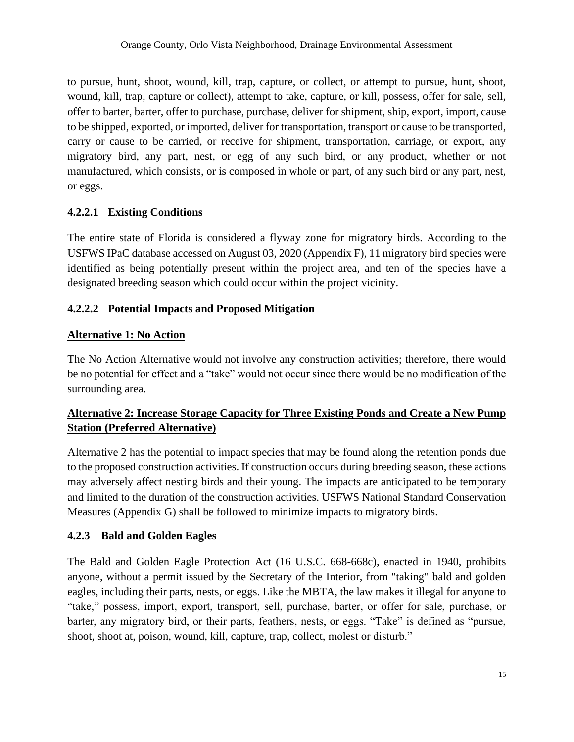to pursue, hunt, shoot, wound, kill, trap, capture, or collect, or attempt to pursue, hunt, shoot, wound, kill, trap, capture or collect), attempt to take, capture, or kill, possess, offer for sale, sell, offer to barter, barter, offer to purchase, purchase, deliver for shipment, ship, export, import, cause to be shipped, exported, or imported, deliver for transportation, transport or cause to be transported, carry or cause to be carried, or receive for shipment, transportation, carriage, or export, any migratory bird, any part, nest, or egg of any such bird, or any product, whether or not manufactured, which consists, or is composed in whole or part, of any such bird or any part, nest, or eggs.

#### **4.2.2.1 Existing Conditions**

The entire state of Florida is considered a flyway zone for migratory birds. According to the USFWS IPaC database accessed on August 03, 2020 (Appendix F), 11 migratory bird species were identified as being potentially present within the project area, and ten of the species have a designated breeding season which could occur within the project vicinity.

#### **4.2.2.2 Potential Impacts and Proposed Mitigation**

#### **Alternative 1: No Action**

 The No Action Alternative would not involve any construction activities; therefore, there would be no potential for effect and a "take" would not occur since there would be no modification of the surrounding area.

# **Alternative 2: Increase Storage Capacity for Three Existing Ponds and Create a New Pump Station (Preferred Alternative)**

 Alternative 2 has the potential to impact species that may be found along the retention ponds due to the proposed construction activities. If construction occurs during breeding season, these actions may adversely affect nesting birds and their young. The impacts are anticipated to be temporary and limited to the duration of the construction activities. USFWS National Standard Conservation Measures (Appendix G) shall be followed to minimize impacts to migratory birds.

#### <span id="page-14-0"></span>**4.2.3 Bald and Golden Eagles**

The Bald and Golden Eagle Protection Act (16 U.S.C. 668-668c), enacted in 1940, prohibits anyone, without a permit issued by the Secretary of the Interior, from "taking" bald and golden eagles, including their parts, nests, or eggs. Like the MBTA, the law makes it illegal for anyone to "take," possess, import, export, transport, sell, purchase, barter, or offer for sale, purchase, or barter, any migratory bird, or their parts, feathers, nests, or eggs. "Take" is defined as "pursue, shoot, shoot at, poison, wound, kill, capture, trap, collect, molest or disturb."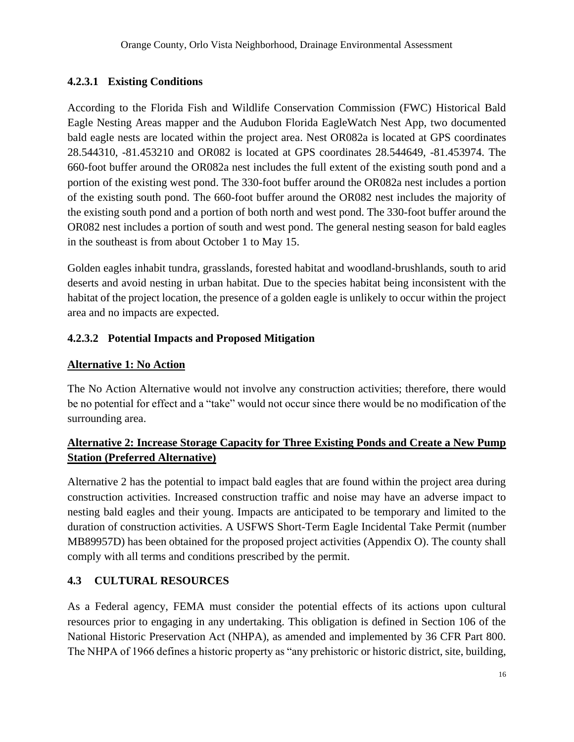#### **4.2.3.1 Existing Conditions**

 According to the Florida Fish and Wildlife Conservation Commission (FWC) Historical Bald of the existing south pond. The 660-foot buffer around the OR082 nest includes the majority of the existing south pond and a portion of both north and west pond. The 330-foot buffer around the OR082 nest includes a portion of south and west pond. The general nesting season for bald eagles Eagle Nesting Areas mapper and the Audubon Florida EagleWatch Nest App, two documented bald eagle nests are located within the project area. Nest OR082a is located at GPS coordinates 28.544310, -81.453210 and OR082 is located at GPS coordinates 28.544649, -81.453974. The 660-foot buffer around the OR082a nest includes the full extent of the existing south pond and a portion of the existing west pond. The 330-foot buffer around the OR082a nest includes a portion in the southeast is from about October 1 to May 15.

 habitat of the project location, the presence of a golden eagle is unlikely to occur within the project Golden eagles inhabit tundra, grasslands, forested habitat and woodland-brushlands, south to arid deserts and avoid nesting in urban habitat. Due to the species habitat being inconsistent with the area and no impacts are expected.

#### **4.2.3.2 Potential Impacts and Proposed Mitigation**

#### **Alternative 1: No Action**

The No Action Alternative would not involve any construction activities; therefore, there would be no potential for effect and a "take" would not occur since there would be no modification of the surrounding area.

#### **Alternative 2: Increase Storage Capacity for Three Existing Ponds and Create a New Pump Station (Preferred Alternative)**

 Alternative 2 has the potential to impact bald eagles that are found within the project area during construction activities. Increased construction traffic and noise may have an adverse impact to duration of construction activities. A USFWS Short-Term Eagle Incidental Take Permit (number MB89957D) has been obtained for the proposed project activities (Appendix O). The county shall nesting bald eagles and their young. Impacts are anticipated to be temporary and limited to the comply with all terms and conditions prescribed by the permit.

#### <span id="page-15-0"></span>**4.3 CULTURAL RESOURCES**

 As a Federal agency, FEMA must consider the potential effects of its actions upon cultural resources prior to engaging in any undertaking. This obligation is defined in Section 106 of the National Historic Preservation Act (NHPA), as amended and implemented by 36 CFR Part 800. The NHPA of 1966 defines a historic property as "any prehistoric or historic district, site, building,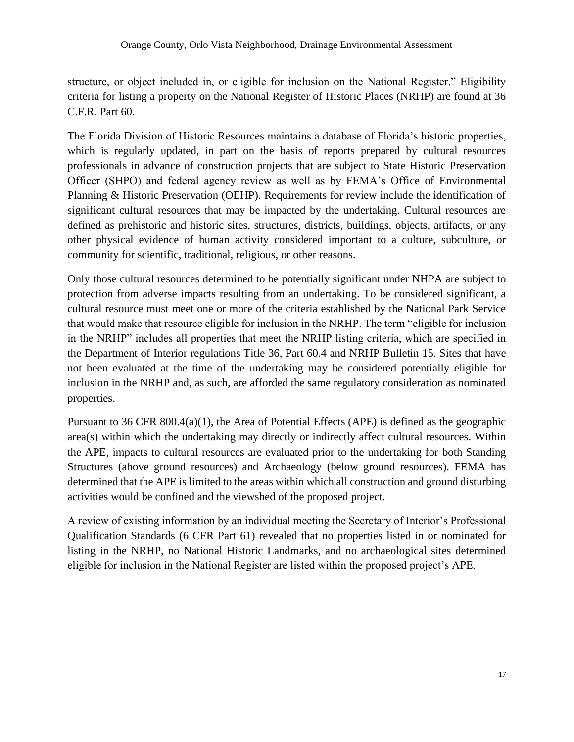structure, or object included in, or eligible for inclusion on the National Register." Eligibility criteria for listing a property on the National Register of Historic Places (NRHP) are found at 36 C.F.R. Part 60.

 The Florida Division of Historic Resources maintains a database of Florida's historic properties, professionals in advance of construction projects that are subject to State Historic Preservation Officer (SHPO) and federal agency review as well as by FEMA's Office of Environmental significant cultural resources that may be impacted by the undertaking. Cultural resources are defined as prehistoric and historic sites, structures, districts, buildings, objects, artifacts, or any other physical evidence of human activity considered important to a culture, subculture, or which is regularly updated, in part on the basis of reports prepared by cultural resources Planning & Historic Preservation (OEHP). Requirements for review include the identification of community for scientific, traditional, religious, or other reasons.

Only those cultural resources determined to be potentially significant under NHPA are subject to protection from adverse impacts resulting from an undertaking. To be considered significant, a cultural resource must meet one or more of the criteria established by the National Park Service that would make that resource eligible for inclusion in the NRHP. The term "eligible for inclusion in the NRHP" includes all properties that meet the NRHP listing criteria, which are specified in the Department of Interior regulations Title 36, Part 60.4 and NRHP Bulletin 15. Sites that have not been evaluated at the time of the undertaking may be considered potentially eligible for inclusion in the NRHP and, as such, are afforded the same regulatory consideration as nominated properties.

 Pursuant to 36 CFR 800.4(a)(1), the Area of Potential Effects (APE) is defined as the geographic area(s) within which the undertaking may directly or indirectly affect cultural resources. Within the APE, impacts to cultural resources are evaluated prior to the undertaking for both Standing Structures (above ground resources) and Archaeology (below ground resources). FEMA has determined that the APE is limited to the areas within which all construction and ground disturbing activities would be confined and the viewshed of the proposed project.

A review of existing information by an individual meeting the Secretary of Interior's Professional Qualification Standards (6 CFR Part 61) revealed that no properties listed in or nominated for listing in the NRHP, no National Historic Landmarks, and no archaeological sites determined eligible for inclusion in the National Register are listed within the proposed project's APE.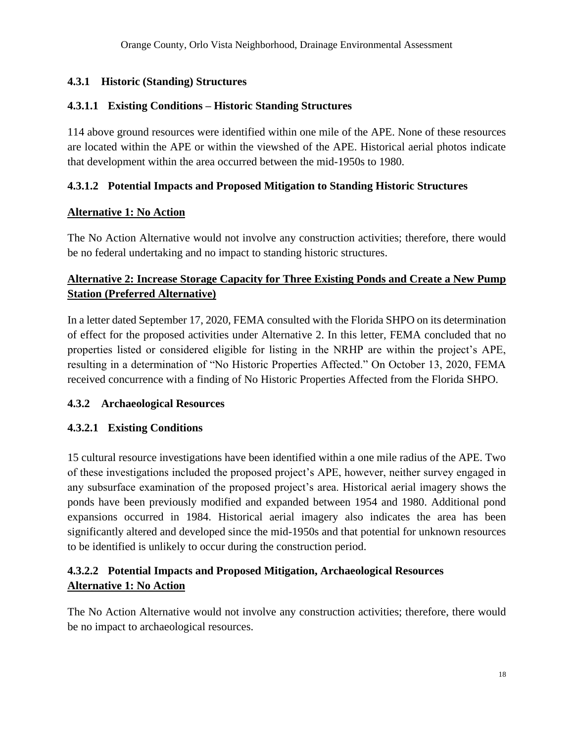#### <span id="page-17-0"></span>**4.3.1 Historic (Standing) Structures**

#### **4.3.1.1 Existing Conditions – Historic Standing Structures**

 are located within the APE or within the viewshed of the APE. Historical aerial photos indicate 114 above ground resources were identified within one mile of the APE. None of these resources that development within the area occurred between the mid-1950s to 1980.

#### **4.3.1.2 Potential Impacts and Proposed Mitigation to Standing Historic Structures**

#### **Alternative 1: No Action**

 The No Action Alternative would not involve any construction activities; therefore, there would be no federal undertaking and no impact to standing historic structures.

#### **Alternative 2: Increase Storage Capacity for Three Existing Ponds and Create a New Pump Station (Preferred Alternative)**

In a letter dated September 17, 2020, FEMA consulted with the Florida SHPO on its determination of effect for the proposed activities under Alternative 2. In this letter, FEMA concluded that no properties listed or considered eligible for listing in the NRHP are within the project's APE, resulting in a determination of "No Historic Properties Affected." On October 13, 2020, FEMA received concurrence with a finding of No Historic Properties Affected from the Florida SHPO.

#### <span id="page-17-1"></span>**4.3.2 Archaeological Resources**

#### **4.3.2.1 Existing Conditions**

15 cultural resource investigations have been identified within a one mile radius of the APE. Two of these investigations included the proposed project's APE, however, neither survey engaged in any subsurface examination of the proposed project's area. Historical aerial imagery shows the ponds have been previously modified and expanded between 1954 and 1980. Additional pond expansions occurred in 1984. Historical aerial imagery also indicates the area has been significantly altered and developed since the mid-1950s and that potential for unknown resources to be identified is unlikely to occur during the construction period.

# **4.3.2.2 Potential Impacts and Proposed Mitigation, Archaeological Resources Alternative 1: No Action**

 The No Action Alternative would not involve any construction activities; therefore, there would be no impact to archaeological resources.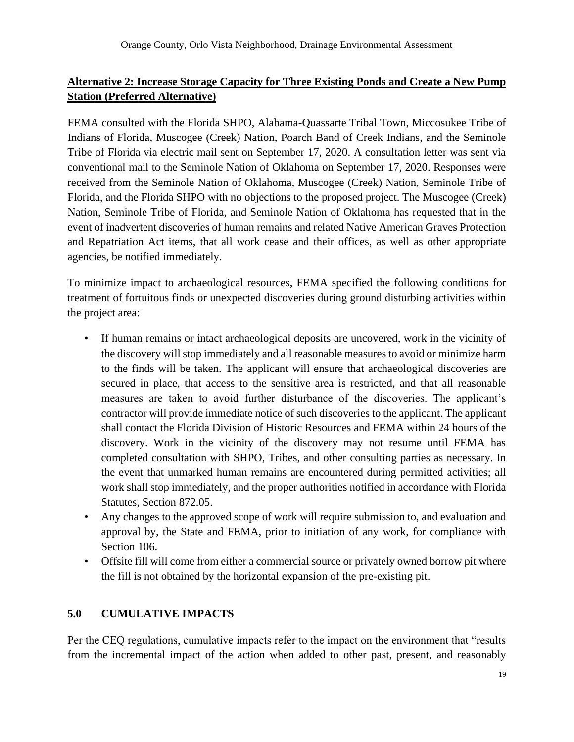# **Alternative 2: Increase Storage Capacity for Three Existing Ponds and Create a New Pump Station (Preferred Alternative)**

 Indians of Florida, Muscogee (Creek) Nation, Poarch Band of Creek Indians, and the Seminole Tribe of Florida via electric mail sent on September 17, 2020. A consultation letter was sent via conventional mail to the Seminole Nation of Oklahoma on September 17, 2020. Responses were Nation, Seminole Tribe of Florida, and Seminole Nation of Oklahoma has requested that in the event of inadvertent discoveries of human remains and related Native American Graves Protection FEMA consulted with the Florida SHPO, Alabama-Quassarte Tribal Town, Miccosukee Tribe of received from the Seminole Nation of Oklahoma, Muscogee (Creek) Nation, Seminole Tribe of Florida, and the Florida SHPO with no objections to the proposed project. The Muscogee (Creek) and Repatriation Act items, that all work cease and their offices, as well as other appropriate agencies, be notified immediately.

 To minimize impact to archaeological resources, FEMA specified the following conditions for treatment of fortuitous finds or unexpected discoveries during ground disturbing activities within the project area:

- If human remains or intact archaeological deposits are uncovered, work in the vicinity of the discovery will stop immediately and all reasonable measures to avoid or minimize harm to the finds will be taken. The applicant will ensure that archaeological discoveries are secured in place, that access to the sensitive area is restricted, and that all reasonable measures are taken to avoid further disturbance of the discoveries. The applicant's contractor will provide immediate notice of such discoveries to the applicant. The applicant shall contact the Florida Division of Historic Resources and FEMA within 24 hours of the discovery. Work in the vicinity of the discovery may not resume until FEMA has completed consultation with SHPO, Tribes, and other consulting parties as necessary. In the event that unmarked human remains are encountered during permitted activities; all work shall stop immediately, and the proper authorities notified in accordance with Florida Statutes, Section 872.05.
- Any changes to the approved scope of work will require submission to, and evaluation and approval by, the State and FEMA, prior to initiation of any work, for compliance with Section 106.
- Offsite fill will come from either a commercial source or privately owned borrow pit where the fill is not obtained by the horizontal expansion of the pre-existing pit.

#### <span id="page-18-0"></span>**5.0 CUMULATIVE IMPACTS**

Per the CEQ regulations, cumulative impacts refer to the impact on the environment that "results from the incremental impact of the action when added to other past, present, and reasonably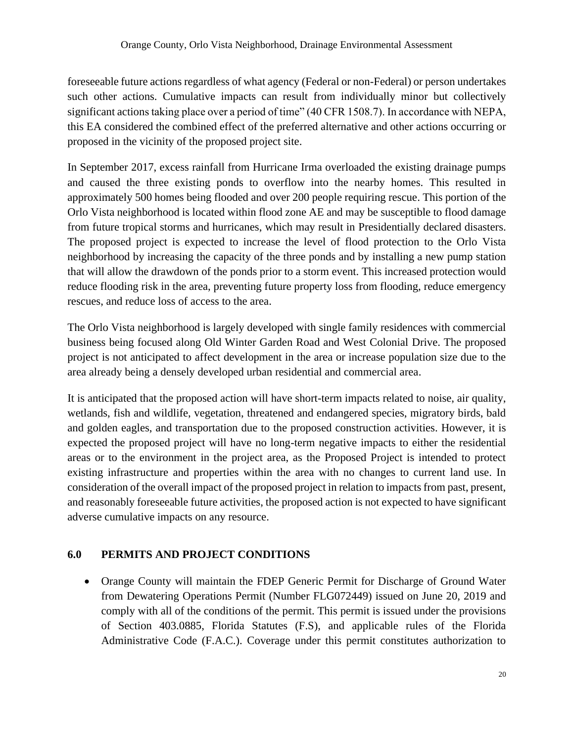such other actions. Cumulative impacts can result from individually minor but collectively significant actions taking place over a period of time" (40 CFR 1508.7). In accordance with NEPA, foreseeable future actions regardless of what agency (Federal or non-Federal) or person undertakes this EA considered the combined effect of the preferred alternative and other actions occurring or proposed in the vicinity of the proposed project site.

 Orlo Vista neighborhood is located within flood zone AE and may be susceptible to flood damage from future tropical storms and hurricanes, which may result in Presidentially declared disasters. that will allow the drawdown of the ponds prior to a storm event. This increased protection would reduce flooding risk in the area, preventing future property loss from flooding, reduce emergency In September 2017, excess rainfall from Hurricane Irma overloaded the existing drainage pumps and caused the three existing ponds to overflow into the nearby homes. This resulted in approximately 500 homes being flooded and over 200 people requiring rescue. This portion of the The proposed project is expected to increase the level of flood protection to the Orlo Vista neighborhood by increasing the capacity of the three ponds and by installing a new pump station rescues, and reduce loss of access to the area.

 project is not anticipated to affect development in the area or increase population size due to the The Orlo Vista neighborhood is largely developed with single family residences with commercial business being focused along Old Winter Garden Road and West Colonial Drive. The proposed area already being a densely developed urban residential and commercial area.

 It is anticipated that the proposed action will have short-term impacts related to noise, air quality, expected the proposed project will have no long-term negative impacts to either the residential existing infrastructure and properties within the area with no changes to current land use. In wetlands, fish and wildlife, vegetation, threatened and endangered species, migratory birds, bald and golden eagles, and transportation due to the proposed construction activities. However, it is areas or to the environment in the project area, as the Proposed Project is intended to protect consideration of the overall impact of the proposed project in relation to impacts from past, present, and reasonably foreseeable future activities, the proposed action is not expected to have significant adverse cumulative impacts on any resource.

#### <span id="page-19-0"></span>**6.0 PERMITS AND PROJECT CONDITIONS**

 comply with all of the conditions of the permit. This permit is issued under the provisions of Section 403.0885, Florida Statutes (F.S), and applicable rules of the Florida Administrative Code (F.A.C.). Coverage under this permit constitutes authorization to • Orange County will maintain the FDEP Generic Permit for Discharge of Ground Water from Dewatering Operations Permit (Number FLG072449) issued on June 20, 2019 and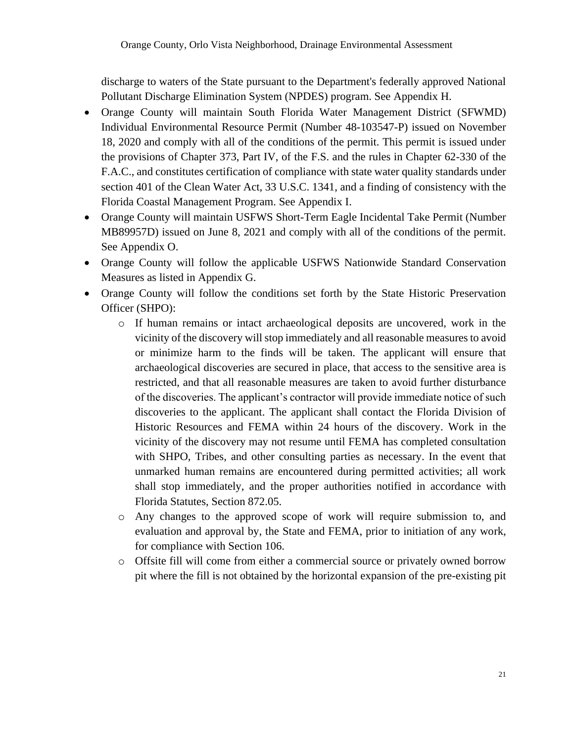discharge to waters of the State pursuant to the Department's federally approved National Pollutant Discharge Elimination System (NPDES) program. See Appendix H.

- • Orange County will maintain South Florida Water Management District (SFWMD) 18, 2020 and comply with all of the conditions of the permit. This permit is issued under F.A.C., and constitutes certification of compliance with state water quality standards under Individual Environmental Resource Permit (Number 48-103547-P) issued on November the provisions of Chapter 373, Part IV, of the F.S. and the rules in Chapter 62-330 of the section 401 of the Clean Water Act, 33 U.S.C. 1341, and a finding of consistency with the Florida Coastal Management Program. See Appendix I.
- MB89957D) issued on June 8, 2021 and comply with all of the conditions of the permit. • Orange County will maintain USFWS Short-Term Eagle Incidental Take Permit (Number See Appendix O.
- Orange County will follow the applicable USFWS Nationwide Standard Conservation Measures as listed in Appendix G.
- Orange County will follow the conditions set forth by the State Historic Preservation Officer (SHPO):
	- $\circ$  If human remains or intact archaeological deposits are uncovered, work in the vicinity of the discovery will stop immediately and all reasonable measures to avoid or minimize harm to the finds will be taken. The applicant will ensure that archaeological discoveries are secured in place, that access to the sensitive area is restricted, and that all reasonable measures are taken to avoid further disturbance of the discoveries. The applicant's contractor will provide immediate notice of such discoveries to the applicant. The applicant shall contact the Florida Division of Historic Resources and FEMA within 24 hours of the discovery. Work in the vicinity of the discovery may not resume until FEMA has completed consultation with SHPO, Tribes, and other consulting parties as necessary. In the event that unmarked human remains are encountered during permitted activities; all work shall stop immediately, and the proper authorities notified in accordance with Florida Statutes, Section 872.05.
	- o Any changes to the approved scope of work will require submission to, and evaluation and approval by, the State and FEMA, prior to initiation of any work, for compliance with Section 106.
	- o Offsite fill will come from either a commercial source or privately owned borrow pit where the fill is not obtained by the horizontal expansion of the pre-existing pit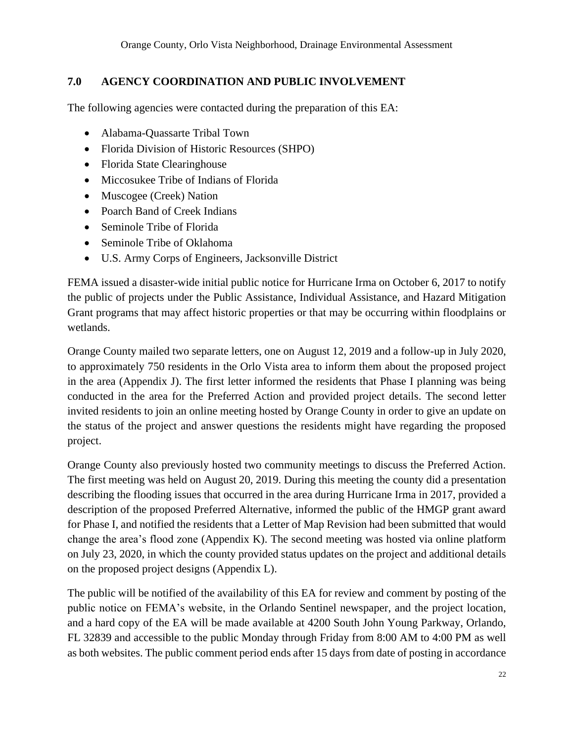#### <span id="page-21-0"></span>**7.0 AGENCY COORDINATION AND PUBLIC INVOLVEMENT**

The following agencies were contacted during the preparation of this EA:

- Alabama-Quassarte Tribal Town
- Florida Division of Historic Resources (SHPO)
- Florida State Clearinghouse
- Miccosukee Tribe of Indians of Florida
- Muscogee (Creek) Nation
- Poarch Band of Creek Indians
- Seminole Tribe of Florida
- Seminole Tribe of Oklahoma
- U.S. Army Corps of Engineers, Jacksonville District

 FEMA issued a disaster-wide initial public notice for Hurricane Irma on October 6, 2017 to notify the public of projects under the Public Assistance, Individual Assistance, and Hazard Mitigation Grant programs that may affect historic properties or that may be occurring within floodplains or wetlands.

 Orange County mailed two separate letters, one on August 12, 2019 and a follow-up in July 2020, to approximately 750 residents in the Orlo Vista area to inform them about the proposed project in the area (Appendix J). The first letter informed the residents that Phase I planning was being conducted in the area for the Preferred Action and provided project details. The second letter invited residents to join an online meeting hosted by Orange County in order to give an update on the status of the project and answer questions the residents might have regarding the proposed project.

 The first meeting was held on August 20, 2019. During this meeting the county did a presentation describing the flooding issues that occurred in the area during Hurricane Irma in 2017, provided a description of the proposed Preferred Alternative, informed the public of the HMGP grant award for Phase I, and notified the residents that a Letter of Map Revision had been submitted that would on July 23, 2020, in which the county provided status updates on the project and additional details Orange County also previously hosted two community meetings to discuss the Preferred Action. change the area's flood zone (Appendix K). The second meeting was hosted via online platform on the proposed project designs (Appendix L).

 The public will be notified of the availability of this EA for review and comment by posting of the public notice on FEMA's website, in the Orlando Sentinel newspaper, and the project location, and a hard copy of the EA will be made available at 4200 South John Young Parkway, Orlando, as both websites. The public comment period ends after 15 days from date of posting in accordance FL 32839 and accessible to the public Monday through Friday from 8:00 AM to 4:00 PM as well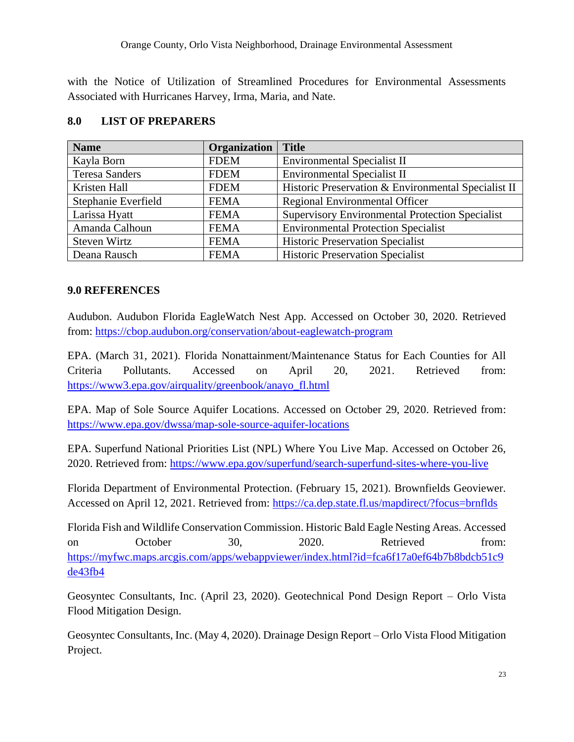Orange County, Orlo Vista Neighborhood, Drainage Environmental Assessment

 with the Notice of Utilization of Streamlined Procedures for Environmental Assessments Associated with Hurricanes Harvey, Irma, Maria, and Nate.

| <b>Name</b>           | Organization | <b>Title</b>                                           |
|-----------------------|--------------|--------------------------------------------------------|
| Kayla Born            | <b>FDEM</b>  | <b>Environmental Specialist II</b>                     |
| <b>Teresa Sanders</b> | <b>FDEM</b>  | <b>Environmental Specialist II</b>                     |
| Kristen Hall          | <b>FDEM</b>  | Historic Preservation & Environmental Specialist II    |
| Stephanie Everfield   | <b>FEMA</b>  | Regional Environmental Officer                         |
| Larissa Hyatt         | <b>FEMA</b>  | <b>Supervisory Environmental Protection Specialist</b> |
| Amanda Calhoun        | <b>FEMA</b>  | <b>Environmental Protection Specialist</b>             |
| Steven Wirtz          | <b>FEMA</b>  | <b>Historic Preservation Specialist</b>                |
| Deana Rausch          | <b>FEMA</b>  | <b>Historic Preservation Specialist</b>                |

#### <span id="page-22-0"></span>**8.0 LIST OF PREPARERS**

#### <span id="page-22-1"></span>**9.0 REFERENCES**

 Audubon. Audubon Florida EagleWatch Nest App. Accessed on October 30, 2020. Retrieved from:<https://cbop.audubon.org/conservation/about-eaglewatch-program>

 EPA. (March 31, 2021). Florida Nonattainment/Maintenance Status for Each Counties for All Criteria Pollutants. Accessed on April 20, 2021. Retrieved from: [https://www3.epa.gov/airquality/greenbook/anayo\\_fl.html](https://www3.epa.gov/airquality/greenbook/anayo_fl.html) 

 EPA. Map of Sole Source Aquifer Locations. Accessed on October 29, 2020. Retrieved from: <https://www.epa.gov/dwssa/map-sole-source-aquifer-locations>

 EPA. Superfund National Priorities List (NPL) Where You Live Map. Accessed on October 26, 2020. Retrieved from:<https://www.epa.gov/superfund/search-superfund-sites-where-you-live>

 Florida Department of Environmental Protection. (February 15, 2021). Brownfields Geoviewer. Accessed on April 12, 2021. Retrieved from:<https://ca.dep.state.fl.us/mapdirect/?focus=brnflds>

 Florida Fish and Wildlife Conservation Commission. Historic Bald Eagle Nesting Areas. Accessed on October 30, 2020. Retrieved from: https://myfwc.maps.arcgis.com/apps/webappviewer/index.html?id=fca6f17a0ef64b7b8bdcb51c9 [de43fb4](https://myfwc.maps.arcgis.com/apps/webappviewer/index.html?id=fca6f17a0ef64b7b8bdcb51c9de43fb4) 

 Geosyntec Consultants, Inc. (April 23, 2020). Geotechnical Pond Design Report – Orlo Vista Flood Mitigation Design.

Geosyntec Consultants, Inc. (May 4, 2020). Drainage Design Report – Orlo Vista Flood Mitigation Project.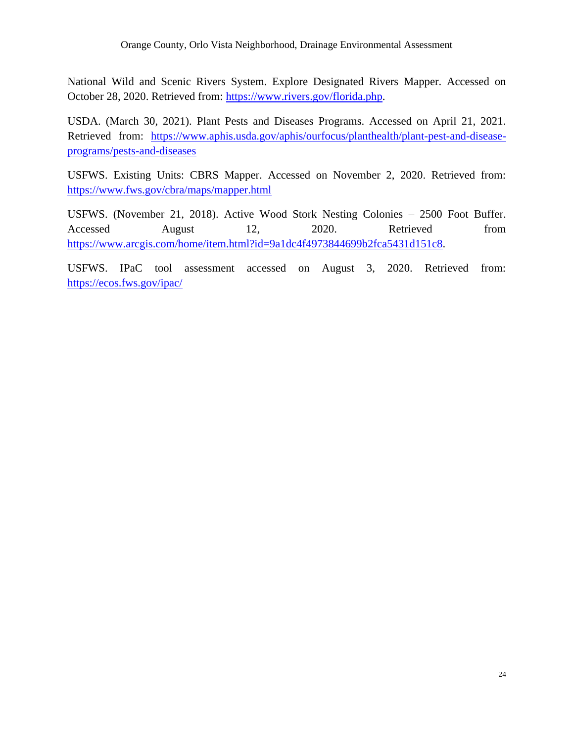National Wild and Scenic Rivers System. Explore Designated Rivers Mapper. Accessed on October 28, 2020. Retrieved from: [https://www.rivers.gov/florida.php.](https://www.rivers.gov/florida.php)

 USDA. (March 30, 2021). Plant Pests and Diseases Programs. Accessed on April 21, 2021. Retrieved from: [https://www.aphis.usda.gov/aphis/ourfocus/planthealth/plant-pest-and-disease](https://www.aphis.usda.gov/aphis/ourfocus/planthealth/plant-pest-and-disease-programs/pests-and-diseases)[programs/pests-and-diseases](https://www.aphis.usda.gov/aphis/ourfocus/planthealth/plant-pest-and-disease-programs/pests-and-diseases) 

 USFWS. Existing Units: CBRS Mapper. Accessed on November 2, 2020. Retrieved from: <https://www.fws.gov/cbra/maps/mapper.html>

 USFWS. (November 21, 2018). Active Wood Stork Nesting Colonies – 2500 Foot Buffer. Accessed Accessed August 12, 2020. Retrieved from [https://www.arcgis.com/home/item.html?id=9a1dc4f4973844699b2fca5431d151c8.](https://www.arcgis.com/home/item.html?id=9a1dc4f4973844699b2fca5431d151c8)

USFWS. IPaC tool assessment accessed on August 3, 2020. Retrieved from: <https://ecos.fws.gov/ipac/>